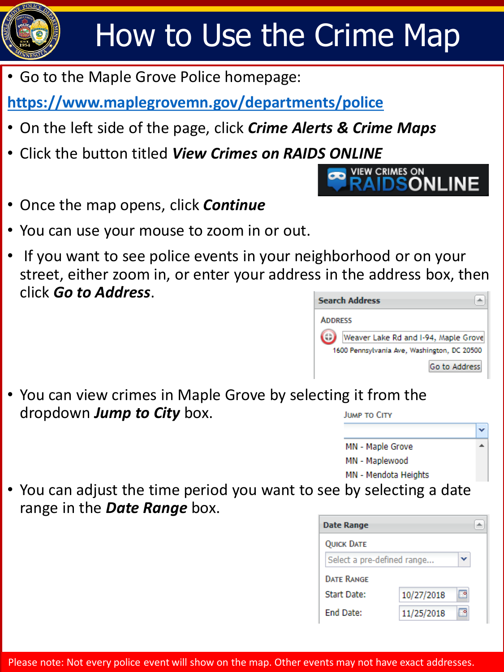

• Go to the Maple Grove Police homepage:

**<https://www.maplegrovemn.gov/departments/police>**

- On the left side of the page, click *Crime Alerts & Crime Maps*
- Click the button titled *View Crimes on RAIDS ONLINE*
- Once the map opens, click *Continue*
- You can use your mouse to zoom in or out.
- If you want to see police events in your neighborhood or on your street, either zoom in, or enter your address in the address box, then click *Go to Address*.

| <b>Search Address</b>                       |
|---------------------------------------------|
| <b>ADDRESS</b>                              |
| Weaver Lake Rd and I-94, Maple Grove        |
| 1600 Pennsylvania Ave, Washington, DC 20500 |
| Go to Address                               |

**VIEW CRIMES ON** 

**ONLINE** 

• You can view crimes in Maple Grove by selecting it from the dropdown *Jump to City* box. **JUMP TO CITY** 



• You can adjust the time period you want to see by selecting a date range in the *Date Range* box.

| <b>Date Range</b>          |            |  |  |
|----------------------------|------------|--|--|
| <b>QUICK DATE</b>          |            |  |  |
| Select a pre-defined range |            |  |  |
| <b>DATE RANGE</b>          |            |  |  |
| Start Date:                | 10/27/2018 |  |  |
| <b>End Date:</b>           | 11/25/2018 |  |  |